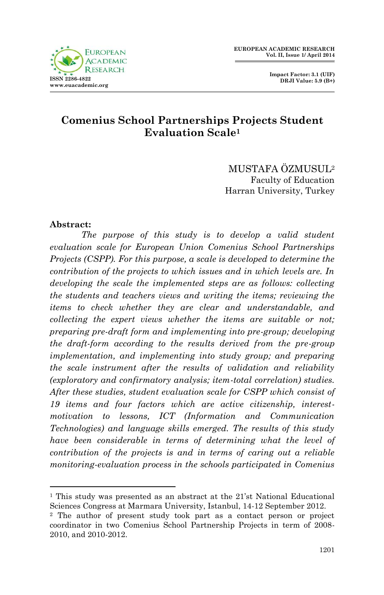

 **Impact Factor: 3.1 (UIF) DRJI Value: 5.9 (B+)**

# **Comenius School Partnerships Projects Student Evaluation Scale<sup>1</sup>**

MUSTAFA ÖZMUSUL<sup>2</sup> Faculty of Education Harran University, Turkey

#### **Abstract:**

**.** 

*The purpose of this study is to develop a valid student evaluation scale for European Union Comenius School Partnerships Projects (CSPP). For this purpose, a scale is developed to determine the contribution of the projects to which issues and in which levels are. In developing the scale the implemented steps are as follows: collecting the students and teachers views and writing the items; reviewing the items to check whether they are clear and understandable, and collecting the expert views whether the items are suitable or not; preparing pre-draft form and implementing into pre-group; developing the draft-form according to the results derived from the pre-group implementation, and implementing into study group; and preparing the scale instrument after the results of validation and reliability (exploratory and confirmatory analysis; item-total correlation) studies. After these studies, student evaluation scale for CSPP which consist of 19 items and four factors which are active citizenship, interestmotivation to lessons, ICT (Information and Communication Technologies) and language skills emerged. The results of this study have been considerable in terms of determining what the level of contribution of the projects is and in terms of caring out a reliable monitoring-evaluation process in the schools participated in Comenius* 

<sup>1</sup> This study was presented as an abstract at the 21'st National Educational Sciences Congress at Marmara University, Istanbul, 14-12 September 2012.

<sup>2</sup> The author of present study took part as a contact person or project coordinator in two Comenius School Partnership Projects in term of 2008- 2010, and 2010-2012.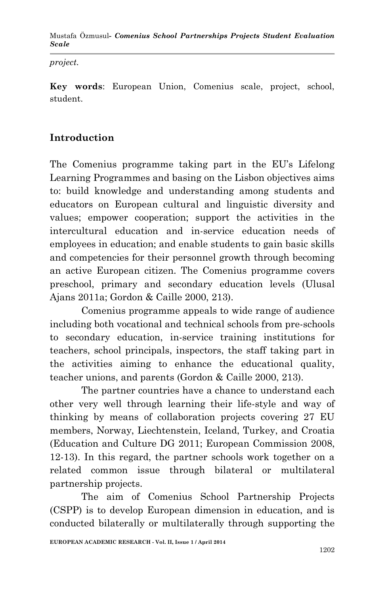*project.*

**Key words**: European Union, Comenius scale, project, school, student.

# **Introduction**

The Comenius programme taking part in the EU's Lifelong Learning Programmes and basing on the Lisbon objectives aims to: build knowledge and understanding among students and educators on European cultural and linguistic diversity and values; empower cooperation; support the activities in the intercultural education and in-service education needs of employees in education; and enable students to gain basic skills and competencies for their personnel growth through becoming an active European citizen. The Comenius programme covers preschool, primary and secondary education levels (Ulusal Ajans 2011a; Gordon & Caille 2000, 213).

Comenius programme appeals to wide range of audience including both vocational and technical schools from pre-schools to secondary education, in-service training institutions for teachers, school principals, inspectors, the staff taking part in the activities aiming to enhance the educational quality, teacher unions, and parents (Gordon & Caille 2000, 213).

The partner countries have a chance to understand each other very well through learning their life-style and way of thinking by means of collaboration projects covering 27 EU members, Norway, Liechtenstein, Iceland, Turkey, and Croatia (Education and Culture DG 2011; European Commission 2008, 12-13). In this regard, the partner schools work together on a related common issue through bilateral or multilateral partnership projects.

The aim of Comenius School Partnership Projects (CSPP) is to develop European dimension in education, and is conducted bilaterally or multilaterally through supporting the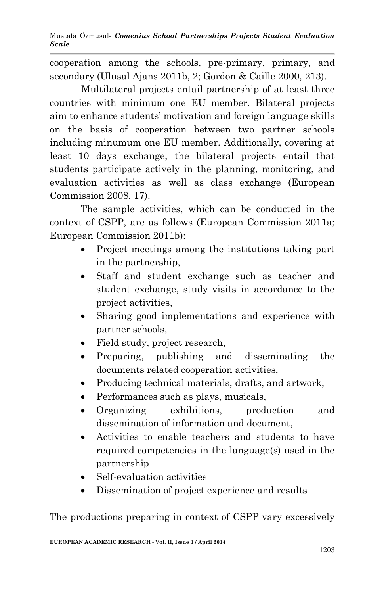cooperation among the schools, pre-primary, primary, and secondary (Ulusal Ajans 2011b, 2; Gordon & Caille 2000, 213).

Multilateral projects entail partnership of at least three countries with minimum one EU member. Bilateral projects aim to enhance students' motivation and foreign language skills on the basis of cooperation between two partner schools including minumum one EU member. Additionally, covering at least 10 days exchange, the bilateral projects entail that students participate actively in the planning, monitoring, and evaluation activities as well as class exchange (European Commission 2008, 17).

The sample activities, which can be conducted in the context of CSPP, are as follows (European Commission 2011a; European Commission 2011b):

- Project meetings among the institutions taking part in the partnership,
- Staff and student exchange such as teacher and student exchange, study visits in accordance to the project activities,
- Sharing good implementations and experience with partner schools,
- Field study, project research,
- Preparing, publishing and disseminating the documents related cooperation activities,
- Producing technical materials, drafts, and artwork,
- Performances such as plays, musicals,
- Organizing exhibitions, production and dissemination of information and document,
- Activities to enable teachers and students to have required competencies in the language(s) used in the partnership
- Self-evaluation activities
- Dissemination of project experience and results

The productions preparing in context of CSPP vary excessively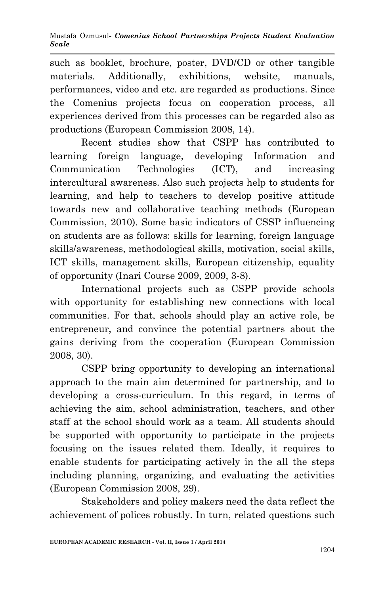such as booklet, brochure, poster, DVD/CD or other tangible materials. Additionally, exhibitions, website, manuals, performances, video and etc. are regarded as productions. Since the Comenius projects focus on cooperation process, all experiences derived from this processes can be regarded also as productions (European Commission 2008, 14).

Recent studies show that CSPP has contributed to learning foreign language, developing Information and Communication Technologies (ICT), and increasing intercultural awareness. Also such projects help to students for learning, and help to teachers to develop positive attitude towards new and collaborative teaching methods (European Commission, 2010). Some basic indicators of CSSP influencing on students are as follows: skills for learning, foreign language skills/awareness, methodological skills, motivation, social skills, ICT skills, management skills, European citizenship, equality of opportunity (Inari Course 2009, 2009, 3-8).

International projects such as CSPP provide schools with opportunity for establishing new connections with local communities. For that, schools should play an active role, be entrepreneur, and convince the potential partners about the gains deriving from the cooperation (European Commission 2008, 30).

CSPP bring opportunity to developing an international approach to the main aim determined for partnership, and to developing a cross-curriculum. In this regard, in terms of achieving the aim, school administration, teachers, and other staff at the school should work as a team. All students should be supported with opportunity to participate in the projects focusing on the issues related them. Ideally, it requires to enable students for participating actively in the all the steps including planning, organizing, and evaluating the activities (European Commission 2008, 29).

Stakeholders and policy makers need the data reflect the achievement of polices robustly. In turn, related questions such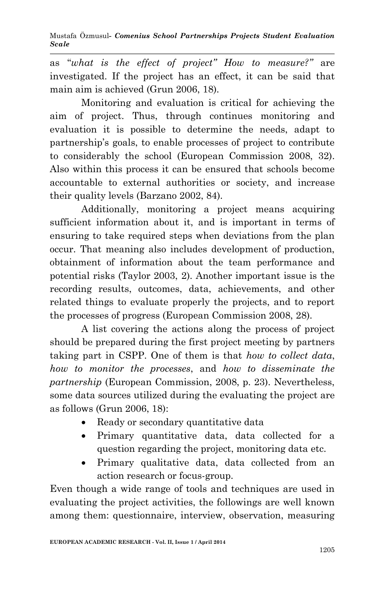Mustafa Özmusul*- Comenius School Partnerships Projects Student Evaluation Scale*

as "*what is the effect of project" How to measure?"* are investigated. If the project has an effect, it can be said that main aim is achieved (Grun 2006, 18).

Monitoring and evaluation is critical for achieving the aim of project. Thus, through continues monitoring and evaluation it is possible to determine the needs, adapt to partnership's goals, to enable processes of project to contribute to considerably the school (European Commission 2008, 32). Also within this process it can be ensured that schools become accountable to external authorities or society, and increase their quality levels (Barzano 2002, 84).

Additionally, monitoring a project means acquiring sufficient information about it, and is important in terms of ensuring to take required steps when deviations from the plan occur. That meaning also includes development of production, obtainment of information about the team performance and potential risks (Taylor 2003, 2). Another important issue is the recording results, outcomes, data, achievements, and other related things to evaluate properly the projects, and to report the processes of progress (European Commission 2008, 28).

A list covering the actions along the process of project should be prepared during the first project meeting by partners taking part in CSPP. One of them is that *how to collect data*, *how to monitor the processes*, and *how to disseminate the partnership* (European Commission, 2008, p. 23). Nevertheless, some data sources utilized during the evaluating the project are as follows (Grun 2006, 18):

- Ready or secondary quantitative data
- Primary quantitative data, data collected for a question regarding the project, monitoring data etc.
- Primary qualitative data, data collected from an action research or focus-group.

Even though a wide range of tools and techniques are used in evaluating the project activities, the followings are well known among them: questionnaire, interview, observation, measuring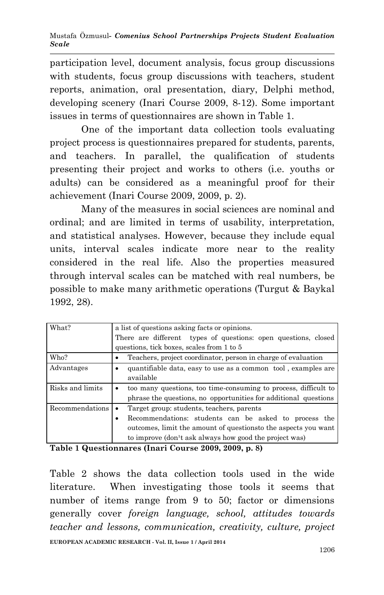participation level, document analysis, focus group discussions with students, focus group discussions with teachers, student reports, animation, oral presentation, diary, Delphi method, developing scenery (Inari Course 2009, 8-12). Some important issues in terms of questionnaires are shown in Table 1.

One of the important data collection tools evaluating project process is questionnaires prepared for students, parents, and teachers. In parallel, the qualification of students presenting their project and works to others (i.e. youths or adults) can be considered as a meaningful proof for their achievement (Inari Course 2009, 2009, p. 2).

Many of the measures in social sciences are nominal and ordinal; and are limited in terms of usability, interpretation, and statistical analyses. However, because they include equal units, interval scales indicate more near to the reality considered in the real life. Also the properties measured through interval scales can be matched with real numbers, be possible to make many arithmetic operations (Turgut & Baykal 1992, 28).

| What?            | a list of questions asking facts or opinions.                   |  |  |  |  |
|------------------|-----------------------------------------------------------------|--|--|--|--|
|                  | There are different types of questions: open questions, closed  |  |  |  |  |
|                  | questions, tick boxes, scales from 1 to 5                       |  |  |  |  |
| Who?             | Teachers, project coordinator, person in charge of evaluation   |  |  |  |  |
| Advantages       | quantifiable data, easy to use as a common tool, examples are   |  |  |  |  |
|                  | available                                                       |  |  |  |  |
| Risks and limits | too many questions, too time-consuming to process, difficult to |  |  |  |  |
|                  | phrase the questions, no opportunities for additional questions |  |  |  |  |
| Recommendations  | Target group: students, teachers, parents                       |  |  |  |  |
|                  | Recommendations: students can be asked to process the           |  |  |  |  |
|                  | outcomes, limit the amount of questions to the aspects you want |  |  |  |  |
|                  | to improve (don't ask always how good the project was)          |  |  |  |  |

**Table 1 Questionnares (Inari Course 2009, 2009, p. 8)** 

Table 2 shows the data collection tools used in the wide literature. When investigating those tools it seems that number of items range from 9 to 50; factor or dimensions generally cover *foreign language, school, attitudes towards teacher and lessons, communication, creativity, culture, project*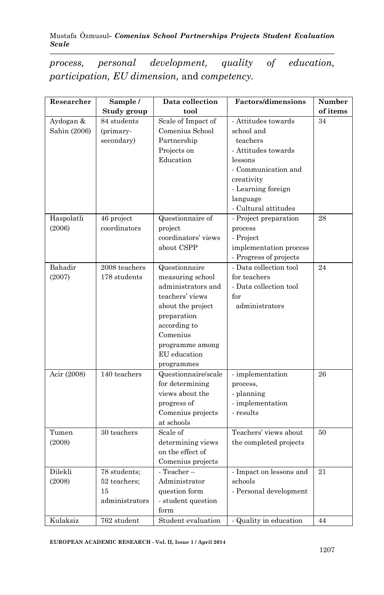#### Mustafa Özmusul*- Comenius School Partnerships Projects Student Evaluation Scale*

*process, personal development, quality of education, participation, EU dimension,* and *competency.* 

| Researcher   | Sample /       | Data collection          | <b>Factors/dimensions</b> | Number   |
|--------------|----------------|--------------------------|---------------------------|----------|
|              | Study group    | tool                     |                           | of items |
| Aydogan &    | 84 students    | Scale of Impact of       | - Attitudes towards       | 34       |
| Sahin (2006) | (primary-      | Comenius School          | school and                |          |
|              | secondary)     | Partnership              | teachers                  |          |
|              |                | Projects on              | - Attitudes towards       |          |
|              |                | Education                | lessons                   |          |
|              |                |                          | - Communication and       |          |
|              |                |                          | creativity                |          |
|              |                |                          | - Learning foreign        |          |
|              |                |                          | language                  |          |
|              |                |                          | - Cultural attitudes      |          |
| Haspolatli   | 46 project     | Questionnaire of         | - Project preparation     | 28       |
| (2006)       | coordinators   | project                  | process                   |          |
|              |                | coordinators' views      | - Project                 |          |
|              |                | about CSPP               | implementation process    |          |
|              |                |                          | - Progress of projects    |          |
| Bahadir      | 2008 teachers  | Questionnaire            | - Data collection tool    | 24       |
| (2007)       | 178 students   | measuring school         | for teachers              |          |
|              |                | administrators and       | - Data collection tool    |          |
|              |                | teachers' views          | for                       |          |
|              |                | about the project        | administrators            |          |
|              |                | preparation              |                           |          |
|              |                | according to             |                           |          |
|              |                | Comenius                 |                           |          |
|              |                | programme among          |                           |          |
|              |                | EU education             |                           |          |
|              |                | programmes               |                           |          |
| Acir (2008)  | 140 teachers   | Questionnaire/scale      | - implementation          | 26       |
|              |                | for determining          | process,                  |          |
|              |                | views about the          | - planning                |          |
|              |                | progress of              | - implementation          |          |
|              |                | Comenius projects        | - results                 |          |
|              |                | at schools               |                           |          |
| Tumen        | 30 teachers    | Scale of                 | Teachers' views about     | 50       |
| (2008)       |                | determining views        | the completed projects    |          |
|              |                | on the effect of         |                           |          |
|              |                | Comenius projects        |                           |          |
| Dilekli      | 78 students;   | - Teacher-               | - Impact on lessons and   | 21       |
| (2008)       | 52 teachers;   | Administrator            | schools                   |          |
|              | 15             | question form            | - Personal development    |          |
|              | administrators | $\cdot$ student question |                           |          |
|              |                | form                     |                           |          |
| Kulaksiz     | 762 student    | Student evaluation       | - Quality in education    | 44       |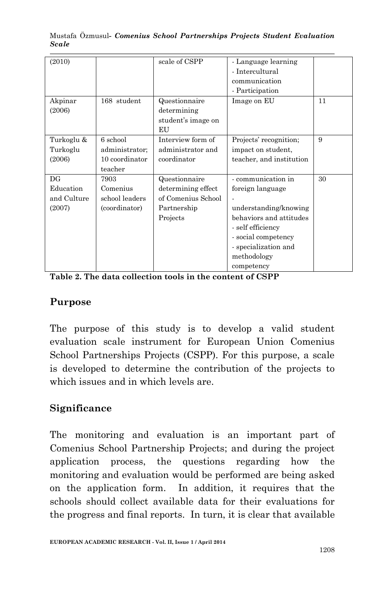| (2010)                                   |                                                         | scale of CSPP                                                                        | - Language learning<br>- Intercultural<br>communication<br>- Participation                                                                                                                  |    |
|------------------------------------------|---------------------------------------------------------|--------------------------------------------------------------------------------------|---------------------------------------------------------------------------------------------------------------------------------------------------------------------------------------------|----|
| Akpinar<br>(2006)                        | 168 student                                             | Questionnaire<br>determining<br>student's image on<br>EU                             | Image on EU                                                                                                                                                                                 | 11 |
| Turkoglu &<br>Turkoglu<br>(2006)         | 6 school<br>administrator;<br>10 coordinator<br>teacher | Interview form of<br>administrator and<br>coordinator                                | Projects' recognition;<br>impact on student,<br>teacher, and institution                                                                                                                    | 9  |
| DG<br>Education<br>and Culture<br>(2007) | 7903<br>Comenius<br>school leaders<br>(coordinator)     | Questionnaire<br>determining effect<br>of Comenius School<br>Partnership<br>Projects | - communication in<br>foreign language<br>understanding/knowing<br>behaviors and attitudes<br>- self efficiency<br>- social competency<br>- specialization and<br>methodology<br>competency | 30 |

Mustafa Özmusul*- Comenius School Partnerships Projects Student Evaluation Scale*

**Table 2. The data collection tools in the content of CSPP**

### **Purpose**

The purpose of this study is to develop a valid student evaluation scale instrument for European Union Comenius School Partnerships Projects (CSPP). For this purpose, a scale is developed to determine the contribution of the projects to which issues and in which levels are.

# **Significance**

The monitoring and evaluation is an important part of Comenius School Partnership Projects; and during the project application process, the questions regarding how the monitoring and evaluation would be performed are being asked on the application form. In addition, it requires that the schools should collect available data for their evaluations for the progress and final reports. In turn, it is clear that available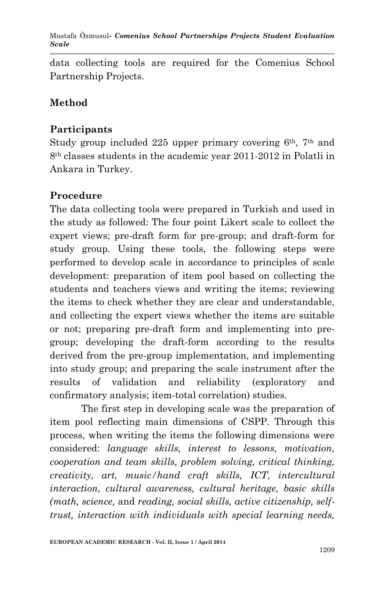Mustafa Özmusul*- Comenius School Partnerships Projects Student Evaluation Scale*

data collecting tools are required for the Comenius School Partnership Projects.

# **Method**

## **Participants**

Study group included 225 upper primary covering  $6<sup>th</sup>$ ,  $7<sup>th</sup>$  and 8th classes students in the academic year 2011-2012 in Polatli in Ankara in Turkey.

### **Procedure**

The data collecting tools were prepared in Turkish and used in the study as followed: The four point Likert scale to collect the expert views; pre-draft form for pre-group; and draft-form for study group. Using these tools, the following steps were performed to develop scale in accordance to principles of scale development: preparation of item pool based on collecting the students and teachers views and writing the items; reviewing the items to check whether they are clear and understandable, and collecting the expert views whether the items are suitable or not; preparing pre-draft form and implementing into pregroup; developing the draft-form according to the results derived from the pre-group implementation, and implementing into study group; and preparing the scale instrument after the results of validation and reliability (exploratory and confirmatory analysis; item-total correlation) studies.

The first step in developing scale was the preparation of item pool reflecting main dimensions of CSPP. Through this process, when writing the items the following dimensions were considered: *language skills, interest to lessons, motivation, cooperation and team skills, problem solving, critical thinking, creativity, art, music/hand craft skills, ICT, intercultural interaction, cultural awareness, cultural heritage, basic skills (math, science,* and *reading, social skills, active citizenship, selftrust, interaction with individuals with special learning needs,*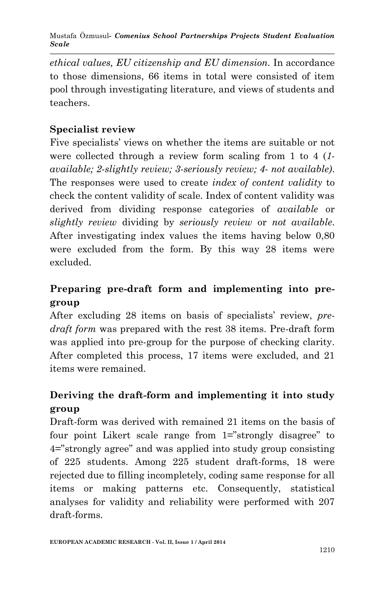Mustafa Özmusul*- Comenius School Partnerships Projects Student Evaluation Scale*

*ethical values, EU citizenship and EU dimension.* In accordance to those dimensions, 66 items in total were consisted of item pool through investigating literature, and views of students and teachers.

# **Specialist review**

Five specialists' views on whether the items are suitable or not were collected through a review form scaling from 1 to 4 (*1 available; 2-slightly review; 3-seriously review; 4- not available)*. The responses were used to create *index of content validity* to check the content validity of scale. Index of content validity was derived from dividing response categories of *available* or *slightly review* dividing by *seriously review* or *not available*. After investigating index values the items having below 0,80 were excluded from the form. By this way 28 items were excluded.

# **Preparing pre-draft form and implementing into pregroup**

After excluding 28 items on basis of specialists' review, *predraft form* was prepared with the rest 38 items. Pre-draft form was applied into pre-group for the purpose of checking clarity. After completed this process, 17 items were excluded, and 21 items were remained.

# **Deriving the draft-form and implementing it into study group**

Draft-form was derived with remained 21 items on the basis of four point Likert scale range from 1="strongly disagree" to 4="strongly agree" and was applied into study group consisting of 225 students. Among 225 student draft-forms, 18 were rejected due to filling incompletely, coding same response for all items or making patterns etc. Consequently, statistical analyses for validity and reliability were performed with 207 draft-forms.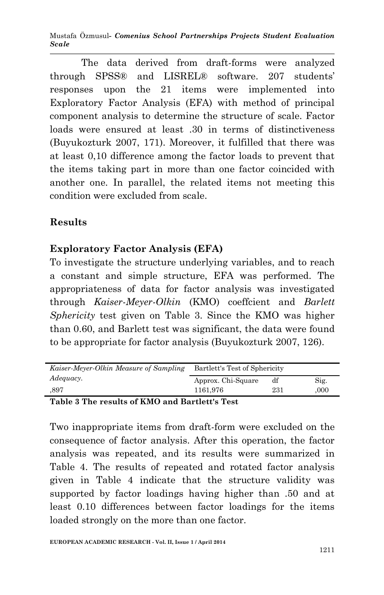Mustafa Özmusul*- Comenius School Partnerships Projects Student Evaluation Scale*

The data derived from draft-forms were analyzed through SPSS® and LISREL® software. 207 students' responses upon the 21 items were implemented into Exploratory Factor Analysis (EFA) with method of principal component analysis to determine the structure of scale. Factor loads were ensured at least .30 in terms of distinctiveness (Buyukozturk 2007, 171). Moreover, it fulfilled that there was at least 0,10 difference among the factor loads to prevent that the items taking part in more than one factor coincided with another one. In parallel, the related items not meeting this condition were excluded from scale.

# **Results**

# **Exploratory Factor Analysis (EFA)**

To investigate the structure underlying variables, and to reach a constant and simple structure, EFA was performed. The appropriateness of data for factor analysis was investigated through *Kaiser-Meyer-Olkin* (KMO) coeffcient and *Barlett Sphericity* test given on Table 3. Since the KMO was higher than 0.60, and Barlett test was significant, the data were found to be appropriate for factor analysis (Buyukozturk 2007, 126).

| Kaiser-Meyer-Olkin Measure of Sampling | Bartlett's Test of Sphericity |     |      |
|----------------------------------------|-------------------------------|-----|------|
| Adequacy.                              | Approx. Chi-Square            | df  | Sig. |
| .897                                   | 1161.976                      | 231 | .000 |
|                                        |                               |     |      |

### **Table 3 The results of KMO and Bartlett's Test**

Two inappropriate items from draft-form were excluded on the consequence of factor analysis. After this operation, the factor analysis was repeated, and its results were summarized in Table 4. The results of repeated and rotated factor analysis given in Table 4 indicate that the structure validity was supported by factor loadings having higher than .50 and at least 0.10 differences between factor loadings for the items loaded strongly on the more than one factor.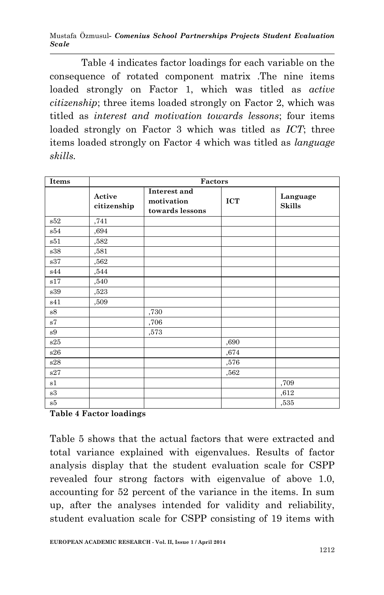Mustafa Özmusul*- Comenius School Partnerships Projects Student Evaluation Scale*

Table 4 indicates factor loadings for each variable on the consequence of rotated component matrix .The nine items loaded strongly on Factor 1, which was titled as *active citizenship*; three items loaded strongly on Factor 2, which was titled as *interest and motivation towards lessons*; four items loaded strongly on Factor 3 which was titled as *ICT*; three items loaded strongly on Factor 4 which was titled as *language skills.*

| <b>Items</b>                | Factors               |                                               |            |                           |  |
|-----------------------------|-----------------------|-----------------------------------------------|------------|---------------------------|--|
|                             | Active<br>citizenship | Interest and<br>motivation<br>towards lessons | <b>ICT</b> | Language<br><b>Skills</b> |  |
| s52                         | ,741                  |                                               |            |                           |  |
| s54                         | ,694                  |                                               |            |                           |  |
| s51                         | $,\!582$              |                                               |            |                           |  |
| s38                         | ,581                  |                                               |            |                           |  |
| s37                         | ,562                  |                                               |            |                           |  |
| s44                         | $,\!544$              |                                               |            |                           |  |
| $\boldsymbol{\mathrm{s}}17$ | ,540                  |                                               |            |                           |  |
| s39                         | $,\!523$              |                                               |            |                           |  |
| s41                         | ,509                  |                                               |            |                           |  |
| $^{\rm s8}$                 |                       | ,730                                          |            |                           |  |
| $\rm s7$                    |                       | ,706                                          |            |                           |  |
| s9                          |                       | ,573                                          |            |                           |  |
| s25                         |                       |                                               | ,690       |                           |  |
| s26                         |                       |                                               | ,674       |                           |  |
| s28                         |                       |                                               | ,576       |                           |  |
| s27                         |                       |                                               | ,562       |                           |  |
| s1                          |                       |                                               |            | ,709                      |  |
| $^{\mathrm{s3}}$            |                       |                                               |            | ,612                      |  |
| s5                          |                       |                                               |            | ,535                      |  |

**Table 4 Factor loadings**

Table 5 shows that the actual factors that were extracted and total variance explained with eigenvalues. Results of factor analysis display that the student evaluation scale for CSPP revealed four strong factors with eigenvalue of above 1.0, accounting for 52 percent of the variance in the items. In sum up, after the analyses intended for validity and reliability, student evaluation scale for CSPP consisting of 19 items with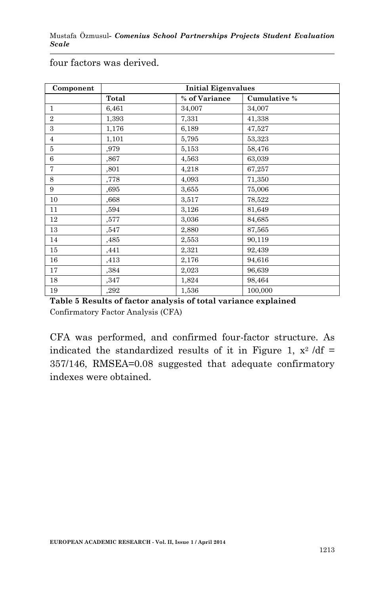| Component      |       | <b>Initial Eigenvalues</b> |              |  |  |
|----------------|-------|----------------------------|--------------|--|--|
|                | Total | % of Variance              | Cumulative % |  |  |
| $\mathbf{1}$   | 6.461 | 34,007                     | 34,007       |  |  |
| $\overline{2}$ | 1,393 | 7,331                      | 41,338       |  |  |
| 3              | 1,176 | 6,189                      | 47,527       |  |  |
| $\overline{4}$ | 1,101 | 5,795                      | 53,323       |  |  |
| 5              | ,979  | 5,153                      | 58,476       |  |  |
| 6              | ,867  | 4,563                      | 63,039       |  |  |
| $\overline{7}$ | ,801  | 4,218                      | 67,257       |  |  |
| 8              | ,778  | 4,093                      | 71,350       |  |  |
| 9              | ,695  | 3,655                      | 75,006       |  |  |
| 10             | ,668  | 3,517                      | 78,522       |  |  |
| 11             | ,594  | 3,126                      | 81,649       |  |  |
| 12             | ,577  | 3,036                      | 84,685       |  |  |
| 13             | .547  | 2,880                      | 87,565       |  |  |
| 14             | ,485  | 2,553                      | 90,119       |  |  |
| 15             | ,441  | 2,321                      | 92,439       |  |  |
| 16             | ,413  | 2,176                      | 94,616       |  |  |
| 17             | .384  | 2,023                      | 96.639       |  |  |
| 18             | ,347  | 1,824                      | 98,464       |  |  |
| 19             | ,292  | 1,536                      | 100,000      |  |  |

four factors was derived.

**Table 5 Results of factor analysis of total variance explained** Confirmatory Factor Analysis (CFA)

CFA was performed, and confirmed four-factor structure. As indicated the standardized results of it in Figure 1,  $x^2$  /df = 357/146, RMSEA=0.08 suggested that adequate confirmatory indexes were obtained.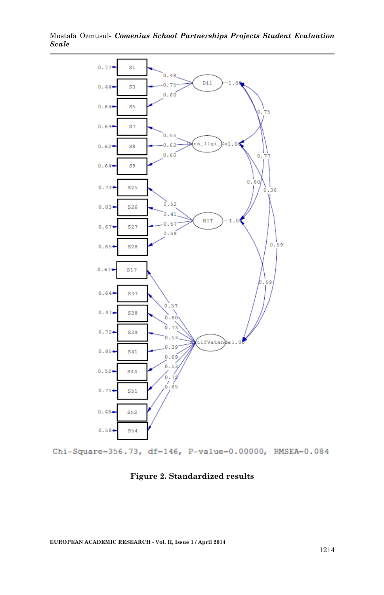Mustafa Özmusul*- Comenius School Partnerships Projects Student Evaluation Scale*



Chi-Square-356.73, df-146, P-value-0.00000, RMSEA-0.084

#### **Figure 2. Standardized results**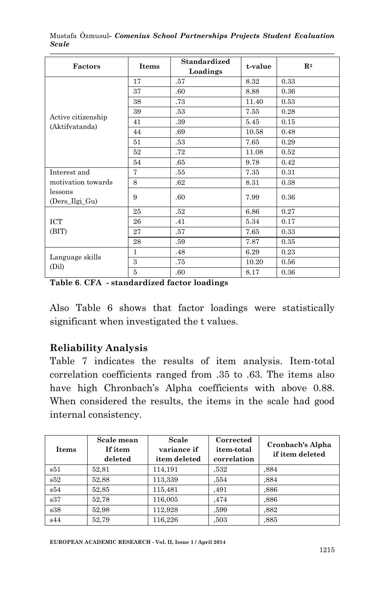| Factors                              | <b>Items</b>   | <b>Standardized</b><br>Loadings | t-value | $\mathbf{R}^2$ |
|--------------------------------------|----------------|---------------------------------|---------|----------------|
|                                      | 17             | .57                             | 8.32    | 0.33           |
|                                      | 37             | .60                             | 8.88    | 0.36           |
|                                      | 38             | .73                             | 11.40   | 0.53           |
|                                      | 39             | .53                             | 7.55    | 0.28           |
| Active citizenship<br>(Aktifvatanda) | 41             | .39                             | 5.45    | 0.15           |
|                                      | 44             | .69                             | 10.58   | 0.48           |
|                                      | 51             | .53                             | 7.65    | 0.29           |
|                                      | 52             | .72                             | 11.08   | 0.52           |
|                                      | 54             | .65                             | 9.78    | 0.42           |
| Interest and                         | $\overline{7}$ | .55                             | 7.35    | 0.31           |
| motivation towards                   | 8              | .62                             | 8.31    | 0.38           |
| lessons<br>(Ders_Ilgi_Gu)            | 9              | .60                             | 7.99    | 0.36           |
|                                      | 25             | .52                             | 6.86    | 0.27           |
| ICT                                  | 26             | .41                             | 5.34    | 0.17           |
| (BIT)                                | 27             | .57                             | 7.65    | 0.33           |
|                                      | 28             | .59                             | 7.87    | 0.35           |
|                                      | $\mathbf{1}$   | .48                             | 6.29    | 0.23           |
| Language skills<br>(Dil)             | 3              | .75                             | 10.20   | 0.56           |
|                                      | 5              | .60                             | 8.17    | 0.36           |

Mustafa Özmusul*- Comenius School Partnerships Projects Student Evaluation Scale*

**Table 6**. **CFA - standardized factor loadings**

Also Table 6 shows that factor loadings were statistically significant when investigated the t values.

#### **Reliability Analysis**

Table 7 indicates the results of item analysis. Item-total correlation coefficients ranged from .35 to .63. The items also have high Chronbach's Alpha coefficients with above 0.88. When considered the results, the items in the scale had good internal consistency.

| Items | Scale mean<br>If item<br>deleted | Scale<br>variance if<br>item deleted | Corrected<br>item-total<br>correlation | Cronbach's Alpha<br>if item deleted |
|-------|----------------------------------|--------------------------------------|----------------------------------------|-------------------------------------|
| s51   | 52,81                            | 114,191                              | .532                                   | .884                                |
| s52   | 52.88                            | 113,339                              | .554                                   | .884                                |
| s54   | 52.85                            | 115,481                              | .491                                   | .886                                |
| s37   | 52.78                            | 116,005                              | .474                                   | .886                                |
| s38   | 52.98                            | 112.928                              | .599                                   | .882                                |
| s44   | 52.79                            | 116,226                              | .503                                   | .885                                |

**EUROPEAN ACADEMIC RESEARCH - Vol. II, Issue 1 / April 2014**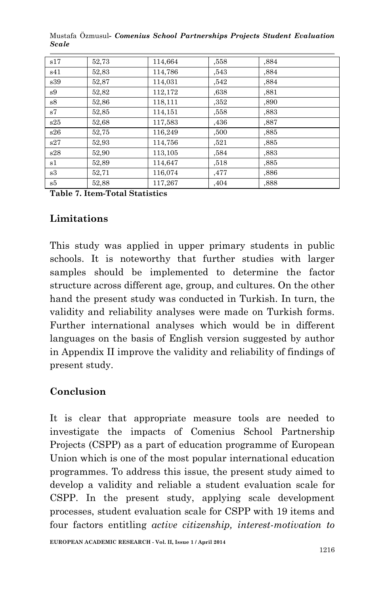| s17 | 52.73 | 114,664 | ,558 | .884 |
|-----|-------|---------|------|------|
| s41 | 52.83 | 114,786 | ,543 | ,884 |
| s39 | 52,87 | 114,031 | .542 | ,884 |
| s9  | 52.82 | 112,172 | ,638 | .881 |
| s8  | 52.86 | 118,111 | ,352 | ,890 |
| s7  | 52.85 | 114.151 | ,558 | ,883 |
| s25 | 52.68 | 117,583 | ,436 | ,887 |
| s26 | 52.75 | 116.249 | ,500 | .885 |
| s27 | 52.93 | 114,756 | .521 | .885 |
| s28 | 52.90 | 113.105 | .584 | .883 |
| s1  | 52.89 | 114,647 | .518 | .885 |
| s3  | 52,71 | 116.074 | ,477 | ,886 |
| s5  | 52.88 | 117,267 | .404 | .888 |

Mustafa Özmusul*- Comenius School Partnerships Projects Student Evaluation Scale*

**Table 7. Item-Total Statistics**

### **Limitations**

This study was applied in upper primary students in public schools. It is noteworthy that further studies with larger samples should be implemented to determine the factor structure across different age, group, and cultures. On the other hand the present study was conducted in Turkish. In turn, the validity and reliability analyses were made on Turkish forms. Further international analyses which would be in different languages on the basis of English version suggested by author in Appendix II improve the validity and reliability of findings of present study.

### **Conclusion**

It is clear that appropriate measure tools are needed to investigate the impacts of Comenius School Partnership Projects (CSPP) as a part of education programme of European Union which is one of the most popular international education programmes. To address this issue, the present study aimed to develop a validity and reliable a student evaluation scale for CSPP. In the present study, applying scale development processes, student evaluation scale for CSPP with 19 items and four factors entitling *active citizenship, interest-motivation to*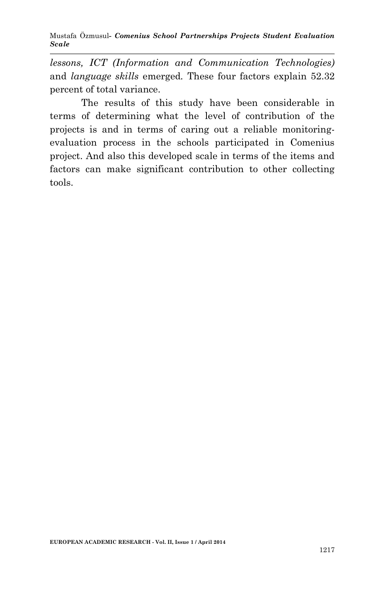Mustafa Özmusul*- Comenius School Partnerships Projects Student Evaluation Scale*

*lessons, ICT (Information and Communication Technologies)*  and *language skills* emerged*.* These four factors explain 52.32 percent of total variance.

The results of this study have been considerable in terms of determining what the level of contribution of the projects is and in terms of caring out a reliable monitoringevaluation process in the schools participated in Comenius project. And also this developed scale in terms of the items and factors can make significant contribution to other collecting tools.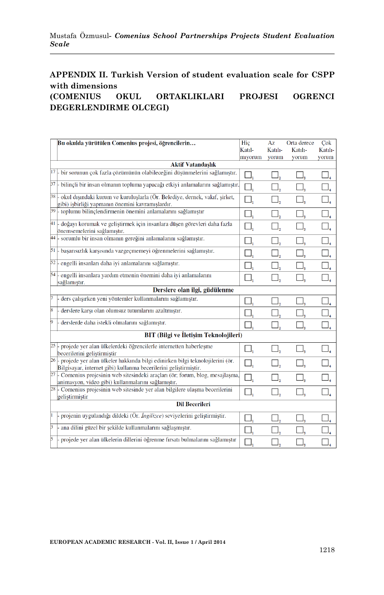## **APPENDIX II. Turkish Version of student evaluation scale for CSPP with dimensions**

#### **(COMENIUS OKUL ORTAKLIKLARI PROJESI OGRENCI DEGERLENDIRME OLCEGI)**

|   | Bu okulda yürütülen Comenius projesi, öğrencilerin                                                                                                    | Hic     | Az                            | Orta derece                             | Cok                           |  |  |  |
|---|-------------------------------------------------------------------------------------------------------------------------------------------------------|---------|-------------------------------|-----------------------------------------|-------------------------------|--|--|--|
|   |                                                                                                                                                       | Katıl-  | Katılı-                       | Katılı-                                 | Katılı-                       |  |  |  |
|   |                                                                                                                                                       | miyorum | yorum                         | yorum                                   | yorum                         |  |  |  |
|   | <b>Aktif Vatandaslık</b>                                                                                                                              |         |                               |                                         |                               |  |  |  |
|   | $17$ - bir sorunun çok fazla çözümünün olabileceğini düşünmelerini sağlamıştır.                                                                       |         |                               |                                         |                               |  |  |  |
|   | $37$ bilinçli bir insan olmanın topluma yapacağı etkiyi anlamalarını sağlamıştır.                                                                     |         |                               |                                         |                               |  |  |  |
|   | 38 - okul dışındaki kurum ve kuruluşlarla (Ör. Belediye, dernek, vakıf, şirket,<br>gibi) isbirliği yapmanın önemini kavramıslardır.                   |         |                               |                                         |                               |  |  |  |
|   | 39 - toplumu bilinçlendirmenin önemini anlamalarını sağlamıştır                                                                                       | ▁▏,     |                               |                                         |                               |  |  |  |
|   | 41 - doğayı korumak ve geliştirmek için insanlara düşen görevleri daha fazla<br>önemsemelerini sağlamıştır.                                           | $\Box,$ | $\Box_{\scriptscriptstyle 2}$ |                                         | $\Box_{\scriptscriptstyle 4}$ |  |  |  |
|   | 44 - sorumlu bir insan olmanın gereğini anlamalarını sağlamıştır.                                                                                     |         |                               |                                         |                               |  |  |  |
|   | 51 - başarısızlık karşısında vazgeçmemeyi öğrenmelerini sağlamıştır.                                                                                  |         |                               |                                         |                               |  |  |  |
|   | 52 - engelli insanları daha iyi anlamalarını sağlamıştır.                                                                                             |         |                               |                                         |                               |  |  |  |
|   | 54 - engelli insanlara yardım etmenin önemini daha iyi anlamalarını<br>sağlamıştır.                                                                   | $\Box,$ |                               |                                         |                               |  |  |  |
|   | Derslere olan ilgi, güdülenme                                                                                                                         |         |                               |                                         |                               |  |  |  |
|   | ders çalışırken yeni yöntemler kullanmalarını sağlamıştır.                                                                                            |         |                               |                                         |                               |  |  |  |
| 8 | derslere karşı olan olumsuz tutumlarını azaltmıştır.                                                                                                  |         |                               |                                         |                               |  |  |  |
| 9 | derslerde daha istekli olmalarını sağlamıştır.                                                                                                        | □.      |                               |                                         |                               |  |  |  |
|   | BIT (Bilgi ve İletisim Teknolojileri)                                                                                                                 |         |                               |                                         |                               |  |  |  |
|   | 25 - projede yer alan ülkelerdeki öğrencilerle internetten haberleşme<br>becerilerini geliştirmiştir                                                  | $\Box,$ |                               |                                         |                               |  |  |  |
|   | 26 - projede yer alan ülkeler hakkında bilgi edinirken bilgi teknolojilerini (ör.<br>Bilgisayar, internet gibi) kullanma becerilerini geliştirmiştir. | ▁▏,     |                               |                                         |                               |  |  |  |
|   | 27 Comenius projesinin web sitesindeki araçları (ör; forum, blog, mesajlaşma,<br>animasyon, video gibi) kullanmalarını sağlamıştır.                   | □,      |                               |                                         |                               |  |  |  |
|   | $28$ . Comenius projesinin web sitesinde yer alan bilgilere ulaşma becerilerini<br>geliştirmiştir                                                     | ⊐,      | $\Box$ ,                      | $\Box_{\scriptscriptstyle{\mathsf{3}}}$ | $\Box_{\scriptscriptstyle 4}$ |  |  |  |
|   | <b>Dil Becerileri</b>                                                                                                                                 |         |                               |                                         |                               |  |  |  |
|   | projenin uygulandığı dildeki (Ör. İngilizce) seviyelerini geliştirmiştir.                                                                             |         |                               |                                         |                               |  |  |  |
| 3 | ana dilini güzel bir şekilde kullanmalarını sağlaşmıştır.                                                                                             |         |                               |                                         |                               |  |  |  |
|   | projede yer alan ülkelerin dillerini öğrenme fırsatı bulmalarını sağlamıştır                                                                          |         |                               |                                         |                               |  |  |  |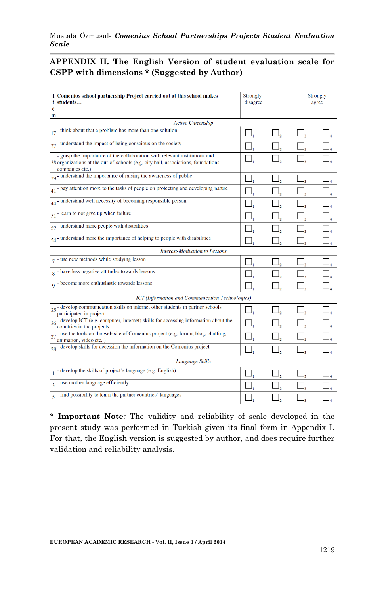#### **APPENDIX II. The English Version of student evaluation scale for CSPP with dimensions \* (Suggested by Author)**

| t     | I Comenius school partnership Project carried out at this school makes<br>students                                                                                                | Strongly<br>disagree |  | Strongly<br>agree |
|-------|-----------------------------------------------------------------------------------------------------------------------------------------------------------------------------------|----------------------|--|-------------------|
| e     |                                                                                                                                                                                   |                      |  |                   |
| m     |                                                                                                                                                                                   |                      |  |                   |
|       | <b>Active Citizenship</b>                                                                                                                                                         |                      |  |                   |
| 17    | think about that a problem has more than one solution                                                                                                                             |                      |  |                   |
| 37    | understand the impact of being conscious on the society                                                                                                                           |                      |  |                   |
|       | grasp the importance of the collaboration with relevant institutions and<br>38 organizations at the out-of-schools (e.g. city hall, associations, foundations,<br>companies etc.) |                      |  |                   |
| $39+$ | understand the importance of raising the awareness of public                                                                                                                      |                      |  |                   |
| 41    | pay attention more to the tasks of people on protecting and developing nature                                                                                                     |                      |  |                   |
| 44    | understand well necessity of becoming responsible person                                                                                                                          |                      |  |                   |
| 51    | learn to not give up when failure                                                                                                                                                 |                      |  |                   |
| 52    | understand more people with disabilities                                                                                                                                          |                      |  |                   |
| 54    | understand more the importance of helping to people with disabilities                                                                                                             |                      |  |                   |
|       | <b>Interest-Motivation to Lessons</b>                                                                                                                                             |                      |  |                   |
| 7     | use new methods while studying lesson                                                                                                                                             |                      |  |                   |
| 8     | have less negative attitudes towards lessons                                                                                                                                      |                      |  |                   |
| 9     | become more enthusiastic towards lessons                                                                                                                                          |                      |  |                   |
|       | ICT (Information and Communication Technologies)                                                                                                                                  |                      |  |                   |
| 25    | develop communication skills on internet other students in partner schools<br>participated in project                                                                             |                      |  |                   |
| 26    | develop ICT (e.g. computer, internet) skills for accessing information about the<br>countries in the projects                                                                     |                      |  |                   |
| 27    | use the tools on the web site of Comenius project (e.g. forum, blog, chatting,<br>animation, video etc.)                                                                          |                      |  |                   |
| 28    | develop skills for accession the information on the Comenius project                                                                                                              |                      |  |                   |
|       | Language Skills                                                                                                                                                                   |                      |  |                   |
| 1     | develop the skills of project's language (e.g. English)                                                                                                                           |                      |  |                   |
| 3     | use mother language efficiently                                                                                                                                                   |                      |  |                   |
| 5     | find possibility to learn the partner countries' languages                                                                                                                        |                      |  |                   |

\* **Important Note***:* The validity and reliability of scale developed in the present study was performed in Turkish given its final form in Appendix I. For that, the English version is suggested by author, and does require further validation and reliability analysis.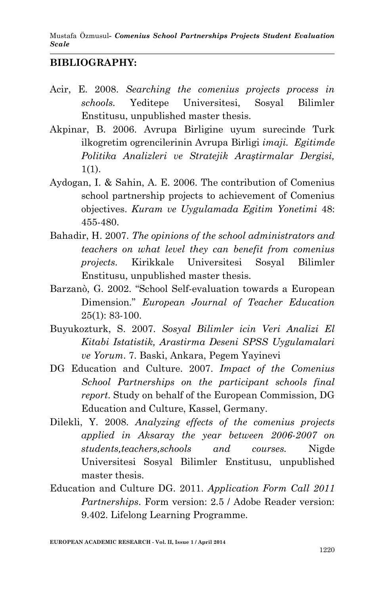Mustafa Özmusul*- Comenius School Partnerships Projects Student Evaluation Scale*

#### **BIBLIOGRAPHY:**

- Acir, E. 2008. *Searching the comenius projects process in schools.* Yeditepe Universitesi, Sosyal Bilimler Enstitusu, unpublished master thesis.
- Akpinar, B. 2006. Avrupa Birligine uyum surecinde Turk ilkogretim ogrencilerinin Avrupa Birligi *imaji. Egitimde Politika Analizleri ve Stratejik Araştirmalar Dergisi,* 1(1).
- Aydogan, I. & Sahin, A. E. 2006. The contribution of Comenius school partnership projects to achievement of Comenius objectives. *Kuram ve Uygulamada Egitim Yonetimi* 48: 455-480.
- Bahadir, H. 2007. *The opinions of the school administrators and teachers on what level they can benefit from comenius projects.* Kirikkale Universitesi Sosyal Bilimler Enstitusu, unpublished master thesis.
- Barzanò, G. 2002. "School Self-evaluation towards a European Dimension." *European Journal of Teacher Education* 25(1): 83-100.
- Buyukozturk, S. 2007. *Sosyal Bilimler icin Veri Analizi El Kitabi Istatistik, Arastirma Deseni SPSS Uygulamalari ve Yorum*. 7. Baski, Ankara, Pegem Yayinevi
- DG Education and Culture. 2007. *Impact of the Comenius School Partnerships on the participant schools final report*. Study on behalf of the European Commission, DG Education and Culture, Kassel, Germany.
- Dilekli, Y. 2008. *Analyzing effects of the comenius projects applied in Aksaray the year between 2006-2007 on students,teachers,schools and courses.* Nigde Universitesi Sosyal Bilimler Enstitusu, unpublished master thesis.
- Education and Culture DG. 2011. *Application Form Call 2011 Partnerships*. Form version: 2.5 / Adobe Reader version: 9.402. Lifelong Learning Programme.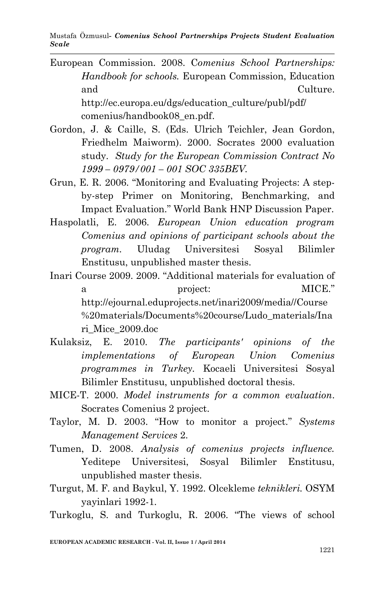Mustafa Özmusul*- Comenius School Partnerships Projects Student Evaluation Scale*

- European Commission. 2008. C*omenius School Partnerships: Handbook for schools.* European Commission, Education and Culture. http://ec.europa.eu/dgs/education\_culture/publ/pdf/ comenius/handbook08\_en.pdf.
- Gordon, J. & Caille, S. (Eds. Ulrich Teichler, Jean Gordon, Friedhelm Maiworm). 2000. Socrates 2000 evaluation study. *Study for the European Commission Contract No 1999 – 0979/001 – 001 SOC 335BEV.*
- Grun, E. R. 2006. "Monitoring and Evaluating Projects: A stepby-step Primer on Monitoring, Benchmarking, and Impact Evaluation." World Bank HNP Discussion Paper.
- Haspolatli, E. 2006. *European Union education program Comenius and opinions of participant schools about the program.* Uludag Universitesi Sosyal Bilimler Enstitusu, unpublished master thesis.

Inari Course 2009. 2009. "Additional materials for evaluation of a project: MICE." http://ejournal.eduprojects.net/inari2009/media//Course %20materials/Documents%20course/Ludo\_materials/Ina ri\_Mice\_2009.doc

- Kulaksiz, E. 2010. *The participants' opinions of the implementations of European Union Comenius programmes in Turkey.* Kocaeli Universitesi Sosyal Bilimler Enstitusu, unpublished doctoral thesis.
- MICE-T. 2000. *Model instruments for a common evaluation*. Socrates Comenius 2 project.
- Taylor, M. D. 2003. "How to monitor a project." *Systems Management Services* 2.
- Tumen, D. 2008. *Analysis of comenius projects influence.*  Yeditepe Universitesi, Sosyal Bilimler Enstitusu, unpublished master thesis.
- Turgut, M. F. and Baykul, Y. 1992. Olcekleme *teknikleri.* OSYM yayinlari 1992-1.
- Turkoglu, S. and Turkoglu, R. 2006. "The views of school